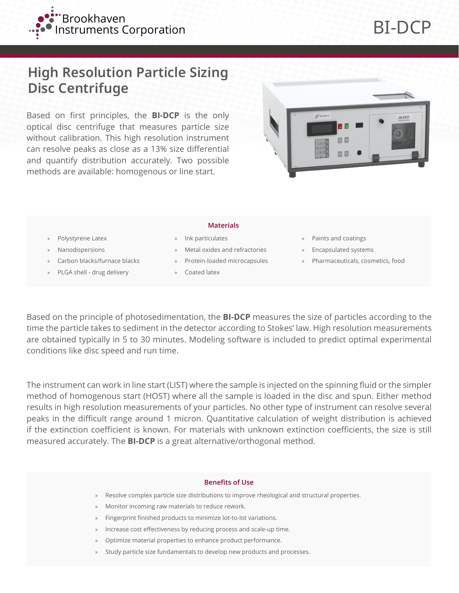

# **High Resolution Particle Sizing Disc Centrifuge**

Based on first principles, the **BI-DCP** is the only optical disc centrifuge that measures particle size without calibration. This high resolution instrument can resolve peaks as close as a 13% size differential and quantify distribution accurately. Two possible methods are available: homogenous or line start.



### » Polystyrene Latex

- » Nanodispersions
- » Carbon blacks/furnace blacks
- » PLGA shell drug delivery

#### **Materials**

- » Ink particulates
- » Metal oxides and refractories
- » Protein-loaded microcapsules
- » Coated latex
- » Paints and coatings
- » Encapsulated systems
- » Pharmaceuticals, cosmetics, food

Based on the principle of photosedimentation, the **BI-DCP** measures the size of particles according to the time the particle takes to sediment in the detector according to Stokes' law. High resolution measurements are obtained typically in 5 to 30 minutes. Modeling software is included to predict optimal experimental conditions like disc speed and run time.

The instrument can work in line start (LIST) where the sample is injected on the spinning fluid or the simpler method of homogenous start (HOST) where all the sample is loaded in the disc and spun. Either method results in high resolution measurements of your particles. No other type of instrument can resolve several peaks in the difficult range around 1 micron. Quantitative calculation of weight distribution is achieved if the extinction coefficient is known. For materials with unknown extinction coefficients, the size is still measured accurately. The **BI-DCP** is a great alternative/orthogonal method.

#### **Benefits of Use**

- » Resolve complex particle size distributions to improve rheological and structural properties.
- » Monitor incoming raw materials to reduce rework.
- » Fingerprint finished products to minimize lot-to-lot variations.
- » Increase cost effectiveness by reducing process and scale-up time.
- » Optimize material properties to enhance product performance.
- Study particle size fundamentals to develop new products and processes.